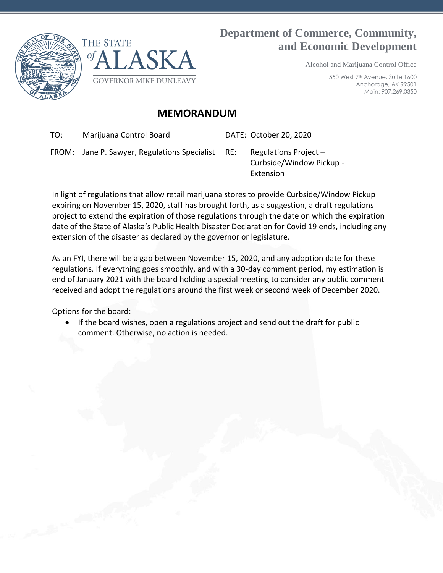



## **Department of Commerce, Community, and Economic Development**

Alcohol and Marijuana Control Office

550 West 7th Avenue, Suite 1600 Anchorage, AK 99501 Main: 907.269.0350

## **MEMORANDUM**

TO: Marijuana Control Board DATE: October 20, 2020

FROM: Jane P. Sawyer, Regulations Specialist RE: Regulations Project –

Curbside/Window Pickup - Extension

In light of regulations that allow retail marijuana stores to provide Curbside/Window Pickup expiring on November 15, 2020, staff has brought forth, as a suggestion, a draft regulations project to extend the expiration of those regulations through the date on which the expiration date of the State of Alaska's Public Health Disaster Declaration for Covid 19 ends, including any extension of the disaster as declared by the governor or legislature.

As an FYI, there will be a gap between November 15, 2020, and any adoption date for these regulations. If everything goes smoothly, and with a 30-day comment period, my estimation is end of January 2021 with the board holding a special meeting to consider any public comment received and adopt the regulations around the first week or second week of December 2020.

Options for the board:

• If the board wishes, open a regulations project and send out the draft for public comment. Otherwise, no action is needed.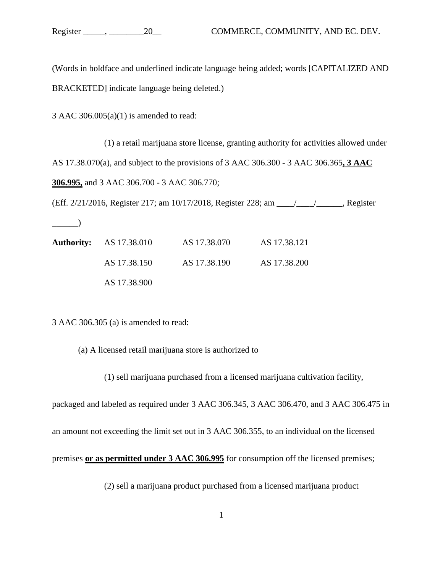(Words in boldface and underlined indicate language being added; words [CAPITALIZED AND BRACKETED] indicate language being deleted.)

3 AAC  $306.005(a)(1)$  is amended to read:

(1) a retail marijuana store license, granting authority for activities allowed under AS 17.38.070(a), and subject to the provisions of 3 AAC 306.300 - 3 AAC 306.365**, 3 AAC 306.995,** and 3 AAC 306.700 - 3 AAC 306.770;

(Eff. 2/21/2016, Register 217; am 10/17/2018, Register 228; am \_\_\_\_/\_\_\_\_/\_\_\_\_\_\_, Register

**Authority:** AS 17.38.010 AS 17.38.070 AS 17.38.121 AS 17.38.150 AS 17.38.190 AS 17.38.200 AS 17.38.900

3 AAC 306.305 (a) is amended to read:

 $\qquad \qquad$ 

(a) A licensed retail marijuana store is authorized to

(1) sell marijuana purchased from a licensed marijuana cultivation facility,

packaged and labeled as required under 3 AAC 306.345, 3 AAC 306.470, and 3 AAC 306.475 in an amount not exceeding the limit set out in 3 AAC 306.355, to an individual on the licensed

premises **or as permitted under 3 AAC 306.995** for consumption off the licensed premises;

(2) sell a marijuana product purchased from a licensed marijuana product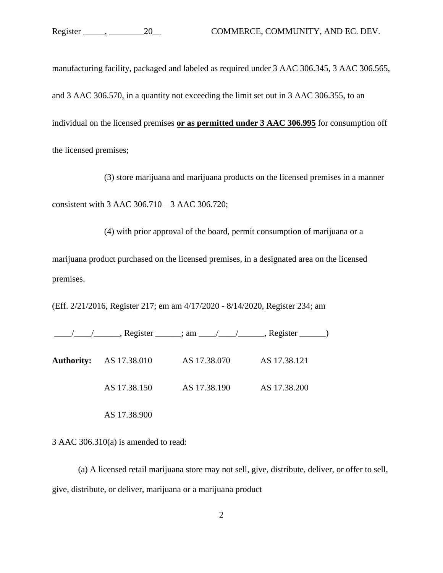manufacturing facility, packaged and labeled as required under 3 AAC 306.345, 3 AAC 306.565, and 3 AAC 306.570, in a quantity not exceeding the limit set out in 3 AAC 306.355, to an individual on the licensed premises **or as permitted under 3 AAC 306.995** for consumption off the licensed premises;

(3) store marijuana and marijuana products on the licensed premises in a manner consistent with 3 AAC 306.710 – 3 AAC 306.720;

(4) with prior approval of the board, permit consumption of marijuana or a marijuana product purchased on the licensed premises, in a designated area on the licensed premises.

(Eff. 2/21/2016, Register 217; em am 4/17/2020 - 8/14/2020, Register 234; am

| <b>Authority:</b> AS 17.38.010 | AS 17.38.070 | AS 17.38.121 |  |
|--------------------------------|--------------|--------------|--|
| AS 17.38.150                   | AS 17.38.190 | AS 17.38.200 |  |

3 AAC 306.310(a) is amended to read:

AS 17.38.900

(a) A licensed retail marijuana store may not sell, give, distribute, deliver, or offer to sell, give, distribute, or deliver, marijuana or a marijuana product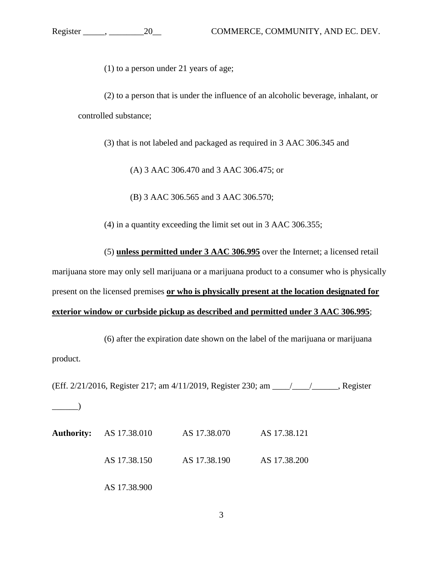(1) to a person under 21 years of age;

(2) to a person that is under the influence of an alcoholic beverage, inhalant, or controlled substance;

(3) that is not labeled and packaged as required in 3 AAC 306.345 and

(A) 3 AAC 306.470 and 3 AAC 306.475; or

(B) 3 AAC 306.565 and 3 AAC 306.570;

(4) in a quantity exceeding the limit set out in 3 AAC 306.355;

(5) **unless permitted under 3 AAC 306.995** over the Internet; a licensed retail marijuana store may only sell marijuana or a marijuana product to a consumer who is physically present on the licensed premises **or who is physically present at the location designated for exterior window or curbside pickup as described and permitted under 3 AAC 306.995**;

(6) after the expiration date shown on the label of the marijuana or marijuana product.

(Eff. 2/21/2016, Register 217; am 4/11/2019, Register 230; am \_\_\_\_/\_\_\_\_/\_\_\_\_\_\_, Register  $\qquad \qquad$ 

|  | <b>Authority:</b> AS 17.38.010 | AS 17.38.070 | AS 17.38.121 |
|--|--------------------------------|--------------|--------------|
|  | AS 17.38.150                   | AS 17.38.190 | AS 17.38.200 |
|  | AS 17.38.900                   |              |              |